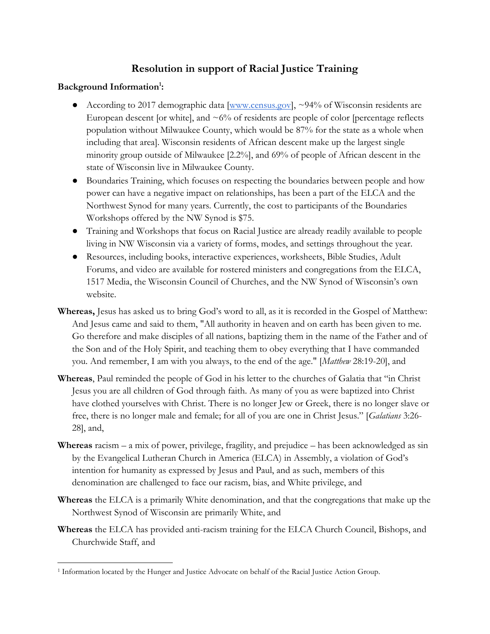## **Resolution in support of Racial Justice Training**

## **Background Information<sup>1</sup> :**

- According to 2017 demographic data [\[www.census.gov\]](http://www.census.gov/), ~94% of Wisconsin residents are European descent [or white], and  $\sim 6\%$  of residents are people of color [percentage reflects population without Milwaukee County, which would be 87% for the state as a whole when including that area]. Wisconsin residents of African descent make up the largest single minority group outside of Milwaukee [2.2%], and 69% of people of African descent in the state of Wisconsin live in Milwaukee County.
- Boundaries Training, which focuses on respecting the boundaries between people and how power can have a negative impact on relationships, has been a part of the ELCA and the Northwest Synod for many years. Currently, the cost to participants of the Boundaries Workshops offered by the NW Synod is \$75.
- Training and Workshops that focus on Racial Justice are already readily available to people living in NW Wisconsin via a variety of forms, modes, and settings throughout the year.
- Resources, including books, interactive experiences, worksheets, Bible Studies, Adult Forums, and video are available for rostered ministers and congregations from the ELCA, 1517 Media, the Wisconsin Council of Churches, and the NW Synod of Wisconsin's own website.
- **Whereas,** Jesus has asked us to bring God's word to all, as it is recorded in the Gospel of Matthew: And Jesus came and said to them, "All authority in heaven and on earth has been given to me. Go therefore and make disciples of all nations, baptizing them in the name of the Father and of the Son and of the Holy Spirit, and teaching them to obey everything that I have commanded you. And remember, I am with you always, to the end of the age." [*Matthew* 28:19-20], and
- **Whereas**, Paul reminded the people of God in his letter to the churches of Galatia that "in Christ Jesus you are all children of God through faith. As many of you as were baptized into Christ have clothed yourselves with Christ. There is no longer Jew or Greek, there is no longer slave or free, there is no longer male and female; for all of you are one in Christ Jesus." [*Galatians* 3:26- 28], and,
- **Whereas** racism a mix of power, privilege, fragility, and prejudice has been acknowledged as sin by the Evangelical Lutheran Church in America (ELCA) in Assembly, a violation of God's intention for humanity as expressed by Jesus and Paul, and as such, members of this denomination are challenged to face our racism, bias, and White privilege, and
- **Whereas** the ELCA is a primarily White denomination, and that the congregations that make up the Northwest Synod of Wisconsin are primarily White, and
- **Whereas** the ELCA has provided anti-racism training for the ELCA Church Council, Bishops, and Churchwide Staff, and

 $\overline{a}$ <sup>1</sup> Information located by the Hunger and Justice Advocate on behalf of the Racial Justice Action Group.